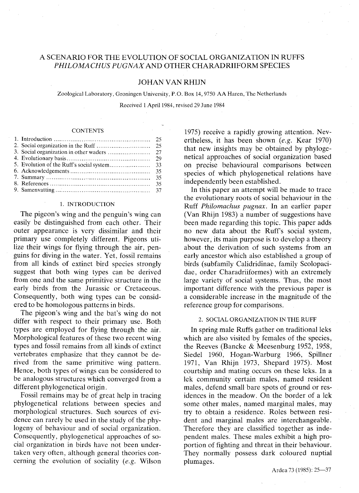# A SCENARIO FOR THE EVOLUTION OF SOCIAL ORGANIZATION IN RUFFS PHILOMACHUS PUGNAX AND OTHER CHARADRIIFORM SPECIES

# JOHAN VAN RHIJN

Zoological Laboratory, Groningen University, P.O. Box 14, 9750 AA Haren, The Netherlands Received 1 April 1984, revised 29 June 1984

### **CONTENTS**

### 1. INTRODUCTION

The pigeon's wing and the penguin's wing can easily be distinguished from each other. Their outer appearance is very dissimilar and their primary use completely different. Pigeons utilize their wings for flying through the air, penguins for diving in the water. Yet, fossil remains from all kinds of extinct bird species strongly suggest that both wing types can be derived from one and the same primitive structure in the early birds from the Jurassic or Cretaceous. Consequently, both wing types can be considered to be homologous patterns in birds.

The pigeon's wing and the bat's wing do not differ with respect to their primary use. Both types are employed for flying through the air. Morphological features of these two recent wing types and fossil remains from all kinds of extinct vertebrates emphasize that they cannot be derived from the same primitive wing pattern. Hence, both types of wings can be considered to be analogous structures which converged from a different phylogenetical origin.

Fossil remains may be of great help in tracing phylogenetical relations between species and morphological structures. Such sources of evidence can rarely be used in the study of the phylogeny of behaviour and of social organization. Consequently, phylogenetical approaches of social organization in birds have not been undertaken very often, although general theories concerning the evolution of sociality *(e.g.* Wilson

1975) receive a rapidly growing attention. Nevertheless, it has been shown *(e.g.* Kear 1970) that new insights may be obtained by phylogenetical approaches of social organization based on precise behavioural comparisons between species of which phylogenetical relations have independently been established.

In this paper an attempt will be made to trace the evolutionary roots of social behaviour in the Ruff *Philomachus pugnax.* In an earlier paper (Van Rhijn 1983) a number of suggestions have been made regarding this topic. This paper adds no new data about the Ruff's social system, however, its main purpose is to develop a theory about the derivation of such systems from an early ancestor which also established a group of birds (subfamily Calidridinae, family Scolopacidae, order Charadriiformes) with an extremely large variety of social systems. Thus, the most important difference with the previous paper is a considerable increase in the magnitude of the reference group for comparisons.

### 2. SOCIAL ORGANIZATION IN THE RUFF

In spring male Ruffs gather on traditional leks which are also visited by females of the species, the Reeves (Bancke & Meesenburg 1952, 1958, Siedel 1960, Hogan-Warburg 1966, Spillner 1971, Van Rhijn 1973, Shepard 1975). Most courtship and mating occurs on these leks. In a lek community certain males, named resident males, defend small bare spots of ground or residences in the meadow. On the border of a lek some other males, named marginal males, may try to obtain a residence. Roles between resident and marginal males are interchangeable. Therefore they are classified together as independent males. These males exhibit a high proportion of fighting and threat in their behaviour. They normally possess dark coloured nuptial plumages.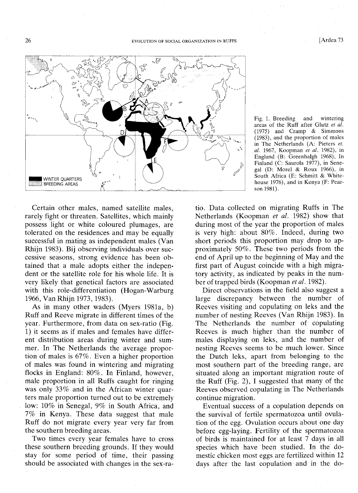

Certain other males, named satellite males, rarely fight or threaten. Satellites, which mainly possess light or white coloured plumages, are tolerated on the residences and may be equally successful in mating as independent males (Van Rhijn 1983). Bij observing individuals over successive seasons, strong evidence has been obtained that a male adopts either the independent or the satellite role for his whole life. It is very likely that genetical factors are associated with this role-differentiation (Hogan-Warburg 1966, Van Rhijn 1973,1983).

As in many other waders (Myers 1981a, b) Ruff and Reeve migrate in different times of the year. Furthermore, from data on sex-ratio (Fig. 1) it seems as if males and females have different distribution areas during winter and summer. In The Netherlands the average proportion of males is 67%. Even a higher proportion of males was found in wintering and migrating flocks in England: 80%. In Finland, however, male proportion in all Ruffs caught for ringing was only 33% and in the African winter quarters male proportion turned out to be extremely low: 10% in Senegal, 9% in South Africa, and 7% in Kenya. These data suggest that male Ruff do not migrate every year very far from the southern breeding areas.

Two times every year females have to cross these southern breeding grounds. If they would stay for some period of time, their passing should be associated with changes in the sex-raFig. 1. Breeding and wintering areas of the Ruff after Glutz *et al.* (1975) and Cramp & Simmons (1983), and the proportion of males in The Netherlands (A: Pieters *et. al.* 1967, Koopman *et al.* 1982), in England (B: Greenhalgh 1968), In Finland (C: Saurola 1977), in Sene· gal (D: Morel & Roux 1966), in South Africa (E: Schmitt & Whitehouse 1976), and in Kenya (F: Pearson 1981).

tio. Data collected on migrating Ruffs in The Netherlands (Koopman *et at.* 1982) show that during most of the year the proportion of males is very high: about 80%. Indeed, during two short periods this proportion may drop to approximately 50%. These two periods from the end of April up to the beginning of May and the first part of August coincide with a high migratory activity, as indicated by peaks in the number of trapped birds (Koopman *et at.* 1982).

Direct observations in the field also suggest a large discrepancy between the number of Reeves visiting and copulating on leks and the number of nesting Reeves (Van Rhijn 1983). In The Netherlands the number of copulating Reeves is much higher than the number of males displaying on leks, and the number of nesting Reeves seems to be much lower. Since the Dutch leks, apart from belonging to the most southern part of the breeding range, are situated along an important migration route of the Ruff (Fig. 2), I suggested that many of the Reeves observed copulating in The Netherlands continue migration.

Eventual success of a copulation depends on the survival of fertile spermatozoa until ovulation of the egg. Ovulation occurs about one day before egg-laying. Fertility of the spermatozoa of birds is maintained for at least 7 days in all species which have been studied. In the domestic chicken most eggs are fertilized within 12 days after the last copulation and in the do-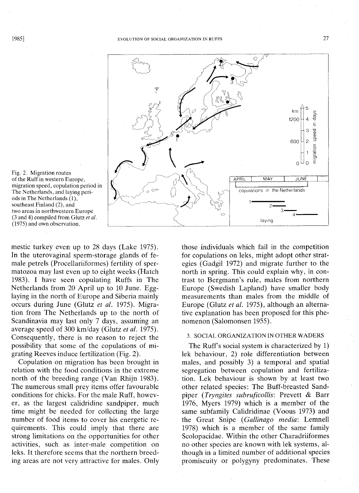



mestic turkey even up to 28 days (Lake 1975). In the uterovaginal sperm-storage glands of female petrels (Procellariiformes) fertility of spermatozoa may last even up to eight weeks (Hatch 1983). I have seen copulating Ruffs in The Netherlands from 20 April up to 10 June. Egglaying in the north of Europe and Siberia mainly occurs during June (Glutz *et al.* 1975). Migration from The Netherlands up to the north of Scandinavia may last only 7 days, assuming an average speed of 300 km/day (Glutz *et* at. 1975). Consequently, there is no reason to reject the possibility that some of the copulations of migrating Reeves induce fertilization (Fig. 2).

Copulation on migration has been brought in relation with the food conditions in the extreme north of the breeding range (Van Rhijn 1983). The numerous small prey items offer favourable conditions for chicks. For the male Ruff, however, as the largest calidridine sandpiper, much time might be needed for collecting the large number of food items to cover his energetic requirements. This could imply that there are strong limitations on the opportunities for other activities, such as inter-male competition on leks. It therefore seems that the northern breeding areas are not very attractive for males. Only

those individuals which fail in the competition for copulations on leks, might adopt other strategies (Gadgil 1972) and migrate further to the north in spring. This could explain why, in contrast to Bergmann's rule, males from northern Europe (Swedish Lapland) have smaller body measurements than males from the middle of Europe (Glutz *et al.* 1975), although an alternative explanation has been proposed for this phenomenon (Salomonsen 1955).

# 3. SOCIAL ORGANIZATION IN OTHER WADERS

The Ruff's social system is characterized by 1) lek behaviour, 2) role differentiation between males, and possibly 3) a temporal and spatial segregation between copulation and fertilization. Lek behaviour is shown by at least two other related species: The Buff-breasted Sandpiper *(Tryngites subruficollis:* Prevett & Barr 1976, Myers 1979) which is a member of the same subfamily Calidridinae (Voous 1973) and the Great Snipe *(Gallinago media:* Lemnell 1978) which is a member of the same family Scolopacidae. Within the other Charadriiformes no other species are known with lek systems, although in a limited number of additional species promiscuity or polygyny predominates. These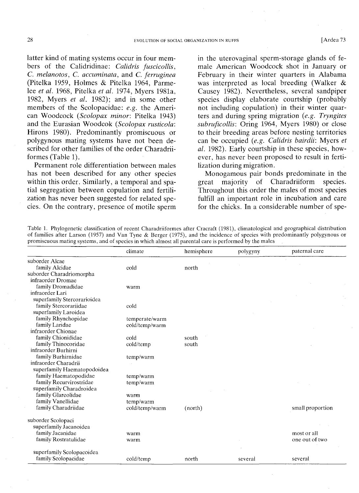latter kind of mating systems occur in four members of the Calidridinae: *Calidris fuscicollis,* C. *melanotos,* C. *accuminata,* and C. *ferruginea* (Pitelka 1959, Holmes & Pitelka 1964, Parmelee *et al.* 1968, Pitelka *et al.* 1974, Myers 1981a, 1982, Myers *et al.* 1982); and in some other members of the Scolopacidae: *e.g.* the American Woodcock *(Scolopax minor:* Pitelka 1943) and the Eurasian Woodcok *(Scolopax rusticola:* Hirons 1980). Predominantly promiscuous or polygynous mating systems have not been described for other families of the order Charadriiformes (Table 1).

Permanent role differentiation between males has not been described for any other species within this order. Similarly, a temporal and spatial segregation between copulation and fertilization has never been suggested for related species. On the contrary, presence of motile sperm

in the uterovaginal sperm-storage glands of female American Woodcock shot in January or February in their winter quarters in Alabama was interpreted as local breeding (Walker & Causey 1982). Nevertheless, several sandpiper species display elaborate courtship (probably not including copulation) in their winter quarters and during spring migration *(e.g. Tryngites subruficollis:* Oring 1964, Myers 1980) or close to their breeding areas before nesting territories can be occupied *(e.g. Calidris bairdii:* Myers *et al.* 1982). Early courtship in these species, however, has never been proposed to result in fertilization during migration.

Monogamous pair bonds predominate in the great majority of Charadriiform species. Throughout this order the males of most species fulfill an important role in incubation and care for the chicks. **In** a considerable number of spe-

Table 1. Phylogenetic classification of recent Charadriiformes after Cracraft (1981), climatological and geographical distribution of families after Larson (1957) and Van Tyne & Berger (1975), and the incidence of species with predominantly polygynous or promiscuous mating systems, and of species in which almost all parental care is performed by the males

|                             | climate        | hemisphere | polygyny | paternal care    |
|-----------------------------|----------------|------------|----------|------------------|
| suborder Alcae              |                |            |          |                  |
| family Alcidae              | cold           | north      |          |                  |
| suborder Charadriomorpha    |                |            |          |                  |
| infraorder Dromae           |                |            |          |                  |
| family Dromadidae           | warm           |            |          |                  |
| infraorder Lari             |                |            |          |                  |
| superfamily Stercorarioidea |                |            |          |                  |
| family Stercorariidae       | cold           |            |          |                  |
| superfamily Laroidea        |                |            |          |                  |
| family Rhynchopidae         | temperate/warm |            |          |                  |
| family Laridae              | cold/temp/warm |            |          |                  |
| infraorder Chionae          |                |            |          |                  |
| family Chionididae          | cold           | south      |          |                  |
| family Thinocoridae         | cold/temp      | south      |          |                  |
| infraorder Burhirni         |                |            |          |                  |
| family Burhirnidae          | temp/warm      |            |          |                  |
| infraorder Charadrii        |                |            |          |                  |
| superfamily Haematopodoidea |                |            |          |                  |
| family Haematopodidae       | temp/warm      |            |          |                  |
| family Recurvirostridae     | temp/warm      |            |          |                  |
| superfamily Charadroidea    |                |            |          |                  |
| family Glareolidae          | warm           |            |          |                  |
| family Vanellidae           | temp/warm      |            |          |                  |
| family Charadriidae         | cold/temp/warm | (north)    |          | small proportion |
| suborder Scolopaci          |                |            |          |                  |
| superfamily Jacanoidea      |                |            |          |                  |
| family Jacanidae            | warm           |            |          | most or all      |
| family Rostratulidae        | warm           |            |          | one out of two   |
| superfamily Scolopacoidea   |                |            |          |                  |
| family Scolopacidae         | cold/temp      | north      | several  | several          |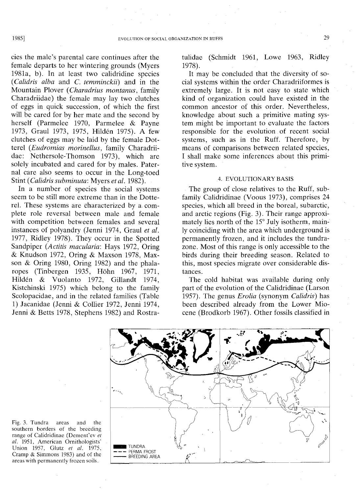cies the male's parental care continues after the female departs to her wintering grounds (Myers 1981a, b). In at least two calidridine species *(Calidris alba* and C. *temminckii)* and in the Mountain Plover *(Charadrius montanus,* family Charadriidae) the female may lay two clutches of eggs in quick succession, of which the first will be cared for by her mate and the second by herself (Parmelee 1970, Parmelee & Payne 1973, Graul 1973, 1975, Hilden 1975). A few clutches of eggs may be laid by the female Dotterel *(Eudromias morinellus,* family Charadriidae: Nethersole-Thomson 1973), which are solely incubated and cared for by males. Paternal care also seems to occur in the Long-toed Stint *(Calidris subminuta:* Myers *et al. 1982).*

In a number of species the social systems seem to be still more extreme than in the Dotterel. These systems are characterized by a complete role reversal between male and female with competition between females and several instances of polyandry (lenni 1974, Graul *et al.* 1977, Ridley 1978). They occur in the Spotted Sandpiper *(Actitis macularia:* Hays 1972, Oring & Knudson 1972, Oring & Maxson 1978, Maxson & Oring 1980, Oring 1982) and the phalaropes (Tinbergen 1935, Hohn 1967, 1971, Hilden & Vuolanto 1972, Gillandt 1974, Kistchinski 1975) which belong to the family Scolopacidae, and in the related families (Table 1) Jacanidae (lenni & Collier 1972, Jenni 1974, Jenni & Betts 1978, Stephens 1982) and Rostratulidae (Schmidt 1961, Lowe 1963, Ridley 1978).

It may be concluded that the diversity of social systems within the order Charadriiformes is extremely large. It is not easy to state which kind of organization could have existed in the common ancestor of this order. Nevertheless, knowledge about such a primitive mating system might be important to evaluate the factors responsible for the evolution of recent social systems, such as in the Ruff. Therefore, by means of comparisons between related species, I shall make some inferences about this primitive system.

#### 4. EVOLUTIONARY BASIS

The group of close relatives to the Ruff, subfamily Calidridinae (Voous 1973), comprises 24 species, which all breed in the boreal, subarctic, and arctic regions (Fig. 3). Their range approximately lies north of the 15° July isotherm, mainly coinciding with the area which underground is permanently frozen, and it includes the tundrazone. Most of this range is only accessible to the birds during their breeding season. Related to this, most species migrate over considerable distances.

The cold habitat was available during only part of the evolution of the Calidridinae (Larson 1957). The genus *Erolia* (synonym *Calidris)* has been described already from the Lower Miocene (Brodkorb 1967). Other fossils classified in



Fig. 3. Tundra areas and the southern borders of the breeding range of Calidridinae (Dement'ev *et al.* 1951, American Ornithologists' Union 1957, Glutz *et al. 1975,* Cramp & Simmons 1983) and of the areas with permanently frozen soils.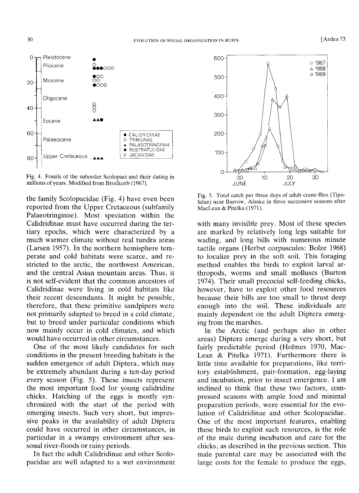

Fig. 4. Fossils of the suborder Scolopaci and their dating in millions of years. Modified from Brodkorb (1967).

the family Scolopacidae (Fig. 4) have even been reported from the Upper Cretaceous (subfamily Palaeotringinae). Most speciation within the Calidridinae must have occurred during the tertiary epochs, which were characterized by a much warmer climate without real tundra areas (Larsen 1957). In the northern hemisphere temperate and cold habitats were scarce, and restricted to the arctic, the northwest American, and the central Asian mountain areas. Thus, it is not self-evident that the common ancestors of Calidridinae were living in cold habitats like their recent descendants. It might be possible, therefore, that these primitive sandpipers were not primarily adapted to breed in a cold climate, but to breed under particular conditions which now mainly occur in cold climates, and which would have occurred in other circumstances.

One of the most likely candidates for such conditions in the present breeding habitats is the sudden emergence of adult Diptera, which may be extremely abundant during a ten-day period every season (Fig. 5). These insects represent the most important food for young calidridine chicks. Hatching of the eggs is mostly synchronized with the start of the period with emerging insects. Such very short, but impressive peaks in the availability of adult Diptera could have occurred in other circumstances, in particular in a swampy environment after seasonal river-floods or rainy periods.

In fact the adult Calidridinae and other Scolopacidae are well adapted to a wet environment



Fig. 5. Total catch per three days of adult crane-flies (Tipulidae) near Barrow, Alaska in three successive seasons after MacLean & Pitelka (1971).

with many invisible prey. Most of these species are marked by relatively long legs suitable for wading, and long bills with numerous minute tactile organs (Herbst corpuscules: Bolze 1968) to localize prey in the soft soil. This foraging method enables the birds to exploit larval arthropods, worms and small molluscs (Burton 1974). Their small precocial self-feeding chicks, however, have to exploit other food resources because their bills are too small to thrust deep enough into the soil. These individuals are mainly dependent on the adult Diptera emerging from the marshes.

In the Arctic (and perhaps also in other areas) Diptera emerge during a very short, but fairly predictable period (Holmes 1970, Mac-Lean & Pitelka 1971). Furthermore there is little time available for preparations, like territory establishment, pair-formation, egg-laying and incubation, prior to insect emergence. I am inclined to think that these two factors, compressed seasons with ample food and minimal preparation periods, were essential for the evolution of Calidridinae and other Scolopacidae. One of the most important features, enabling these birds to exploit such resources, is the role of the male during incubation and care for the chicks, as described in the previous section. This male parental care may be associated with the large costs for the female to produce the eggs,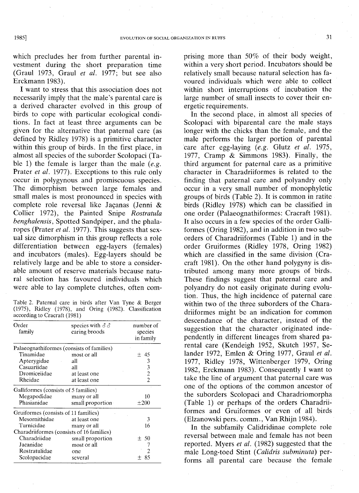which precludes her from further parental investment during the short preparation time (Graul 1973, Graul *et al.* 1977; but see also Erckmann 1983).

I want to stress that this association does not necessarily imply that the male's parental care is a derived character evolved in this group of birds to cope with particular ecological conditions. **In** fact at least three arguments can be given for the alternative that paternal care (as defined by Ridley 1978) is a primitive character within this group of birds. **In** the first place, in almost all species of the suborder Scolopaci (Table 1) the female is larger than the male *(e.g.* Prater *et al.* 1977). Exceptions to this rule only occur in polygynous and promiscuous species. The dimorphism between large females and small males is most pronounced in species with complete role reversal like Jacanas (Jenni  $\&$ Collier 1972), the Painted Snipe *Rostratula benghalensis,* Spotted Sandpiper, and the phalaropes (Prater *et al.* 1977). This suggests that sexual size dimorphism in this group reflects a role differentiation between egg-layers (females) and incubators (males). Egg-layers should be relatively large and be able to store a considerable amount of reserve materials because natural selection has favoured individuals which were able to lay complete clutches, often com-

Table 2. Paternal care in birds after Van Tyne & Berger (1975), Ridley (1978), and Oring (1982). Classification according to Cracraft (1981)

| Order<br>family                      | species with $\delta \delta$<br>caring broods | number of<br>species<br>in family |
|--------------------------------------|-----------------------------------------------|-----------------------------------|
|                                      | Palaeognathiformes (consists of families)     |                                   |
| Tinamidae                            | most or all                                   | ±45                               |
| Apterygidae                          | all                                           | 3                                 |
| Casuariidae                          | all                                           | 3                                 |
| Dromiceiidae                         | at least one                                  | $\overline{c}$                    |
| Rheidae                              | at least one                                  | $\overline{c}$                    |
| Galliformes (consists of 5 families) |                                               |                                   |
| Megapodidae many or all              |                                               | 10                                |
| Phasianidae                          | small proportion                              | $\pm 200$                         |
| Gruiformes (consists of 11 families) |                                               |                                   |
| Mesornithidae                        | at least one                                  | 3                                 |
| Turnicidae                           | many or all                                   | 16                                |
|                                      | Charadriiformes (consists of 16 families)     |                                   |
| Charadriidae                         | small proportion                              | ± 50                              |
| Jacanidae                            | most or all                                   |                                   |
| Rostratulidae                        | one                                           |                                   |
| Scolopacidae                         | several                                       | 85<br>$\div$                      |

prising more than 50% of their body weight, within a very short period. Incubators should be relatively small because natural selection has favoured individuals which were able to collect within short interruptions of incubation the large number of small insects to cover their energetic requirements.

**In** the second place, in almost all species of Scolopaci with biparental care the male stays longer with the chicks than the female, and the male performs the larger portion of parental care after egg-laying *(e.g.* Glutz *et al. 1975,* 1977, Cramp & Simmons 1983). Finally, the third argument for paternal care as a primitive character in Charadriiformes is related to the finding that paternal care and polyandry only occur in a very small number of monophyletic groups of birds (Table 2). It is common in ratite birds (Ridley 1978) which can be classified in one order (Palaeognathiformes: Cracraft 1981). It also occurs in a few species of the order Galliformes (Oring 1982), and in addition in two suborders of Charadriiformes (Table 1) and in the order Gruiformes (Ridley 1978, Oring 1982) which are classified in the same division (Cracraft 1981). On the other hand polygyny is distributed among many more groups of birds. These findings suggest that paternal care and polyandry do not easily originate during evolution. Thus, the high incidence of paternal care within two of the three suborders of the Charadriiformes might be an indication for common descendance of the character, instead of the suggestion that the character originated independently in different lineages from shared parental care (Kendeigh 1952, Skutch 1957, Selander 1972, Emlen & Oring 1977, Graul *et al.* 1977, Ridley 1978, Wittenberger 1979, Oring 1982, Erckmann 1983). Consequently I want to take the line of argument that paternal care was one of the options of the common ancestor of the suborders Scolopaci and Charadriomorpha (Table 1) or perhaps of the orders Charadriiformes and Gruiformes or even of all birds (Elzanowski pers. comm., Van Rhijn 1984).

**In** the subfamily Calidridinae complete role reversal between male and female has not been reported. Myers *et al.* (1982) suggested that the male Long-toed Stint *(Calidris subminuta)* performs all parental care because the female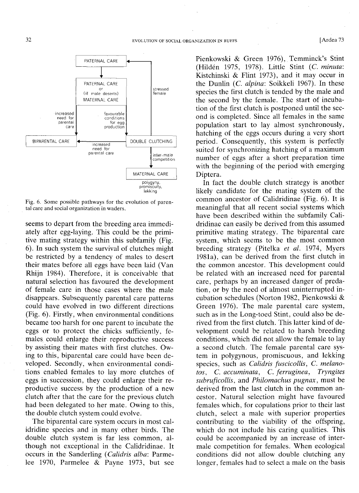

Fig. 6. Some possible pathways for the evolution of parental care and social organization in waders.

seems to depart from the breeding area immediately after egg-laying. This could be the primitive mating strategy within this subfamily (Fig. 6). In such system the survival of clutches might be restricted by a tendency of males to desert their mates before all eggs have been laid (Van Rhijn 1984). Therefore, it is conceivable that natural selection has favoured the development of female care in those cases where the male disappears. Subsequently parental care patterns could have evolved in two different directions (Fig. 6). Firstly, when environmental conditions became too harsh for one parent to incubate the eggs or to protect the chicks sufficiently, females could enlarge their reproductive success by assisting their mates with first clutches. Owing to this, biparental care could have been developed. Secondly, when environmental conditions enabled females to lay more clutches of eggs in succession, they could enlarge their reproductive success by the production of a new clutch after that the care for the previous clutch had been delegated to her mate. Owing to this, the double clutch system could evolve.

The biparental care system occurs in most calidridine species and in many other birds. The double clutch system is far less common, although not exceptional in the Calidridinae. It occurs in the Sanderling *(Calidris alba:* Parmelee 1970, Parmelee & Payne 1973, but see Pienkowski & Green 1976), Temminck's Stint (Hilden 1975, 1978). Little Stint (c. *minuta:* Kistchinski & Flint 1973), and it may occur in the Dunlin (c. *alpina:* Soikkeli 1967). In these species the first clutch is tended by the male and the second by the female. The start of incubation of the first clutch is postponed until the second is completed. Since all females in the same population start to lay almost synchronously, hatching of the eggs occurs during a very short period. Consequently, this system is perfectly suited for synchronizing hatching of a maximum number of eggs after a short preparation time with the beginning of the period with emerging Diptera.

In fact the double clutch strategy is another likely candidate for the mating system of the common ancestor of Calidridinae (Fig. 6). It is meaningful that all recent social systems which have been described within the subfamily Calidridinae can easily be derived from this assumed primitive mating strategy. The biparental care system, which seems to be the most common breeding strategy (Pitelka *et al.* 1974, Myers 1981a), can be derived from the first clutch in the common ancestor. This development could be related with an increased need for parental care, perhaps by an increased danger of predation, or by the need of almost uninterrupted incubation schedules (Norton 1982, Pienkowski & Green 1976). The male parental care system, such as in the Long-toed Stint, could also be derived from the first clutch. This latter kind of development could be related to harsh breeding conditions, which did not allow the female to lay a second clutch. The female parental care system in polygynous, promiscuous, and lekking species, such as *Calidris fuscicollis,* C. *melanotos,* C. *accuminata,* C. *ferruginea, Tryngites subruficollis,* and *Philomachus pugnax,* must be derived from the last clutch in the common ancestor. Natural selection might have favoured females which, for copulations prior to their last clutch, select a male with superior properties contributing to the viability of the offspring, which do not include his caring qualities. This could be accompanied by an increase of intermale competition for females. When ecological conditions did not allow double clutching any longer, females had to select a male on the basis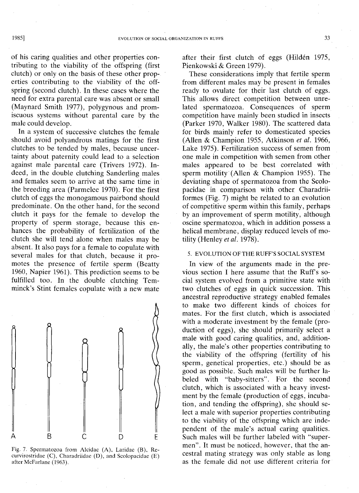of his caring qualities and other properties contributing to the viability of the offspring (first clutch) or only on the basis of these other properties contributing to the viability of the offspring (second clutch). **In** these cases where the need for extra parental care was absent or small (Maynard Smith 1977), polygynous and prom-

iscuous systems without parental care by the

male could develop. **In** a system of successive clutches the female should avoid polyandrous matings for the first clutches to be tended by males, because uncertainty about paternity could lead to a selection against male parental care (Trivers 1972). Indeed, in the double clutching Sanderling males and females seem to arrive at the same time in the breeding area (Parmelee 1970). For the first clutch of eggs the monogamous pairbond should predominate. On the other hand, for the second clutch it pays for the female to develop the property of sperm storage, because this enhances the probability of fertilization of the clutch she will tend alone when males may be absent. It also pays for a female to copulate with several males for that clutch, because it promotes the presence of fertile sperm (Beatty 1960, Napier 1961). This prediction seems to be fulfilled too. **In** the double clutching Temminck's Stint females copulate with a new mate



Fig. 7. Spermatozoa from Alcidae (A). Laridae (B), Recurvirostridae (C), Charadriidae (D), and Scolopacidae (E) after McFarlane (1963).

after their first clutch of eggs (Hilden 1975, Pienkowski & Green 1979).

These considerations imply that fertile sperm from different males may be present in females ready to ovulate for their last clutch of eggs. This allows direct competition between unrelated spermatozoa. Consequences of sperm competition have mainly been studied in insects (Parker 1970, Walker 1980). The scattered data for birds mainly refer to domesticated species (Allen & Champion 1955, Atkinson *et ai. 1966,* Lake 1975). Fertilization success of semen from one male in competition with semen from other males appeared to be best correlated with sperm motility (Allen & Champion 1955). The deviating shape of spermatozoa from the Scolopacidae in comparison with other Charadriiformes (Fig. 7) might be related to an evolution of competitive sperm within this family, perhaps by an improvement of sperm motility, although oscine spermatozoa, which in addition possess a helical membrane, display reduced levels of motility (Henley *et ai. 1978).*

## 5. EVOLUTION OF THE RUFF'S SOCIAL SYSTEM

**In** view of the arguments made in the previous section I here assume that the Ruff's social system evolved from a primitive state with two clutches of eggs in quick succession. This ancestral reproductive strategy enabled females to make two different kinds of choices for mates. For the first clutch, which is associated with a moderate investment by the female (production of eggs), she should primarily select a male with good caring qualities, and, additionally, the male's other properties contributing to the viability of the offspring (fertility of his sperm, genetical properties, etc.) should be as good as possible. Such males will be further labeled with "baby-sitters". For the second clutch, which is associated with a heavy investment by the female (production of eggs, incubation, and tending the offspring), she should select a male with superior properties contributing to the viability of the offspring which are independent of the male's actual caring qualities. Such males will be further labeled with "supermen". It must be noticed, however, that the ancestral mating strategy was only stable as long as the female did not use different criteria for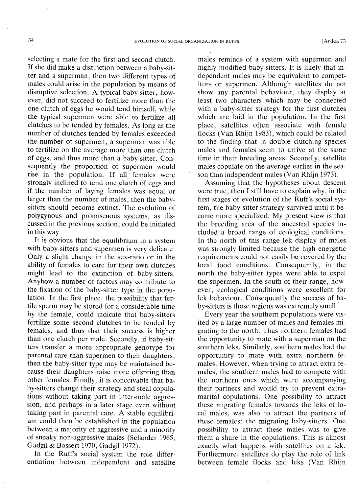selecting a mate for the first and second clutch. If she did make a distinction between a baby-sitter and a superman, then two different types of males could arise in the population by means of disruptive selection. A typical baby-sitter, however, did not succeed to fertilize more than the one clutch of eggs he would tend himself, while the typical supermen were able to fertilize all clutches to be tended by females. As long as the number of clutches tended by females exceeded the number of supermen, a superman was able to fertilize on the average more than one clutch of eggs, and thus more than a baby-sitter. Consequently the proportion of supermen would rise in the population. If all females were strongly inclined to tend one clutch of eggs and if the number of laying females was equal or larger than the number of males, then the babysitters should become extinct. The evolution of polygynous and promiscuous systems, as discussed in the previous section, could be initiated in this way.

It is obvious that the equilibrium in a system with baby-sitters and supermen is very delicate. Only a slight change in the sex-ratio or in the ability of females to care for their own clutches might lead to the extinction of baby-sitters. Anyhow a number of factors may contribute to the fixation of the baby-sitter type in the population. In the first place, the possibility that fertile sperm may be stored for a considerable time by the female, could indicate that baby-sitters fertilize some second clutches to be tended by females, and thus that their success is higher than one clutch per male. Secondly, if baby-sitters transfer a more appropriate genotype for parental care than supermen to their daughters, then the baby-sitter type may be maintained because their daughters raise more offspring than other females. Finally, it is conceivable that baby-sitters change their strategy and steal copulations without taking part in inter-male aggression, and perhaps in a later stage even without taking part in parental care. A stable equilibrium could then be established in the population between a majority of aggressive and a minority of sneaky non-aggressive males (Selander 1965, Gadgil & Bossert 1970, Gadgil 1972).

In the Ruff's social system the role differentiation between independent and satellite males reminds of a system with supermen and highly modified baby-sitters. It is likely that independent males may be equivalent to competitors or supermen. Although satellites do not show any parental behaviour, they display at least two characters which may be connected with a baby-sitter strategy for the first clutches which are laid in the population. In the first place, satellites often associate with female flocks (Van Rhijn 1983), which could be related to the finding that in double clutching species males and females seem to arrive at the same time in their breeding areas. Secondly, satellite males copulate on the average earlier in the season than independent males (Van Rhijn 1973).

Assuming that the hypotheses about descent were true, then I still have to explain why, in the first stages of evolution of the Ruff's social system, the baby-sitter strategy survived until it became more specialized. My present view is that the breeding area of the ancestral species included a broad range of ecological conditions. In the north of this range lek display of males was strongly limited because the high energetic requirements could not easily be covered by the local food conditions. Consequently, in the north the baby-sitter types were able to expel the supermen. In the south of their range, however, ecological conditions were excellent for lek behaviour. Consequently the success of baby-sitters is those regions was extremely small.

Every year the southern populations were visited by a large number of males and females migrating to the north. Thus northern females had the opportunity to mate with a superman on the southern leks. Similarly, southern males had the opportunity to mate with extra northern females. However, when trying to attract extra females, the southern males had to compete with the northern ones which were accompanying their partners and would try to prevent extramarital copulations. One possibility to attract these migrating females towards the leks of local males, was also to attract the partners of these females: the migrating baby-sitters. One possibility to attract these males was to give them a share in the copulations. This is almost exactly what happens with satellites on a lek. Furthermore, satellites do play the role of link between female flocks and leks (Van Rhijn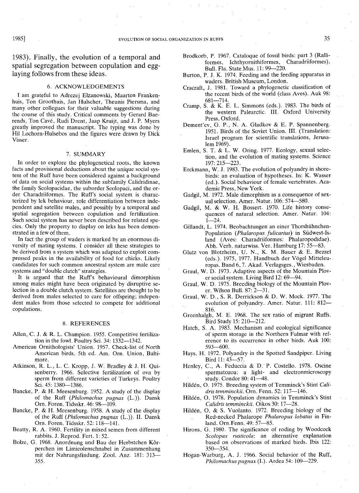1983). Finally, the evolution of a temporal and spatial segregation between copulation and egglaying follows from these ideas.

## 6. ACKNOWLEDGEMENTS

I am grateful to Adrezej Elzanowski, Maarten Frankenhuis, Ton Groothuis, Jan Hulscher, Theunis Piersma, and many other collegues for their valuable suggestions during the course of this study. Critical comments by Gerard Bae, rends, Ton Cave, Rudi Drent, Jaap Kruijt, and J. P. Myers greatly improved the manuscript. The typing was done by Hil Lochorn-Hulsebos and the figures were drawn by Dick Visser.

#### 7. SUMMARY

In order to explore the phylogenetical roots, the known facts and provisional deductions about the unique social system of the Ruff have been considered against a background of data on social systems within the subfamily Calidridinae, the family Scolopacidae, the suborder Scolopaci, and the order Charadriiformes. The Ruff's social system is characterized by lek behaviour, role differentiation between independent and satellite males, and possibly by a temporal and spatial segregation between copulation and fertilization. Such social system has never been described for related species. Only the property to display on leks has been demonstrated in a few of them.

In fact the group of waders is marked by an enormous diversity of mating systems. I consider all these strategies to be derived from a system which was adapted to exploit compressed peaks in the availability of food for chicks. Likely candidates for such common ancestral system are male care systems and "double clutch" strategies.

It is argued that the Ruff's behavioural dimorphism among males might have been originated by disruptive selection in a double clutch system. Satellites are thought to be derived from males selected to care for offspring; independent males from those selected to compete for additional copulations.

#### 8. REFERENCES

- Allen, C. J. & R. L. Champion. 1955. Competitive fertilization in the fowl. Poultry Sci. 34: 1332-1342.
- American Ornithologists' Union. 1957. Check-list of North American birds. 5th ed. Am. Orn. Union, Baltimore.
- Atkinson, R. L., L. C. Kropp, J. W. Bradley & J. H. Quisenberry. 1966. Selective fertilization of ova by sperm from different varieties of Turkeys. Poultry Sci. 45: 1380-1386.
- Bancke, P. & H. Meesenburg. 1952. A study of the display of the Ruff *(Philomachus pugnax* (L.)). Dansk Orn. Foren. Tidsskr. 46: 98-109.
- Bancke, P. & H. Meesenburg. 1958. A study of the display of the Ruff *(Philomachus pugnax* (L.)). II. Dansk Orn. Foren. Tidsskr. 52: 118-141.
- Beatty, R. A. 1960. Fertility in mixed semen from different rabbits. J. Reprod. Fert. 1: 52.
- Bolze, G. 1968. Anordnung und Bau der Herbstchen Körperchen im Limicolenschnabel in Zusammenhang mit der Nahrungsfindung. Zool. Anz. 181: 313-355.
- Brodkorb, P. 1967. Cataloque of fossil birds: part 3 (Ralliformes, Ichthyornithiformes, Charadriiformes). Bull. Fla. State Mus. 11: 99-220.
- Burton, P. J. K. 1974. Feeding and the feeding apparatus in waders. British Museum, London.
- Cracraft, J. 1981. Toward a phylogenetic classification of the recent birds of the world (class Aves). Auk 98: 681-714.
- Cramp, S. & K. E. L. Simmons (eds.). 1983. The birds of the western Palearctic. **III.** Oxford University Press, Oxford.
- Dement'ev, G. P., N. A. Gladkov & E. P. Spannenberg. 1951. Birds of the Soviet Union. III. (Translation: Israel program for scientific translations, Jerusalem 1969).
- Emlen, S. T. & L. W. Oring. 1977. Ecology, sexual selection, and the evolution of mating systems. Science 197: 215-223.
- Erckmann, W. J. 1983. The evolution of polyandry in shorebirds: an evaluation of hypotheses. In: K. Wasser (ed.). Social behaviour of female vertebrates. Academic Press, New York.
- Gadgil, M. 1972. Male dimorphism as a consequence of sexual selection. Amer. Natur. 106: 574-580.
- Gadgil, M. & W. H. Bossert. 1970. Life history consequences of natural selection. Amer. Natur. 104:  $1 - 24$ .
- Gillandt, L. 1974. Beobachtungen an einer Thorshiihnchen-Population *(Phalaropus fulicarius)* in Siidwest-Island (Aves: Charadriiformes: Phalaropodidae). Abh. Verh. naturwiss. Ver. Hamburg 17: 55-83.
- Glutz von Blotzheim, U. N., K. M. Bauer & E. Bezzel (eds.). 1975,1977. Handbuch der Vogel Mitteleuropas. Band 6, 7. Akad. Verlagsges., Wiesbaden.
- Graul, W. D. 1973. Adaptive aspects of the Mountain Plover social system. Living Bird 12: 69-94.
- Graul, W. D. 1975. Breeding biology of the Mountain Plover. Wilson Bull. 87: 2-31.
- Graul, W. D., S. R. Derrickson & D. W. Mock. 1977. The evolution of polyandry. Amer. Natur. 111: 812-
- 816. Greenhalgh, M. E. 1968. The sex ratio of migrant Ruffs. Bird Study 15: 210--212.
- Hatch, S. A. 1983. Mechanism and ecological significance of sperm storage in the Northern Fulmar with reference to its occurrence in other birds. Auk 100: 593-600.
- Hays, H. 1972. Polyandry in the Spotted Sandpiper. Living Bird 11: 43-57.
- Henley, c., A. Feduccia & D. P. Costello. 1978. Oscine spermatozoa: a light- and electronmicroscopy study. Condor 80: 41-48.
- Hilden, O. 1975. Breeding system of Temminck's Stint *Calidris temminckii.* Orn. Fenn. 52: 117-146.
- Hilden, O. 1978. Population dynamics in Temminck's Stint *Calidris temminckii.* Oikos 30: 17-28.
- Hilden, O. & S. Vuolanto. 1972. Breeding biology of the Red-necked Phalarope *Phalaropus lobatus* in Finland. Orn.Fenn. 49: 57-85.
- Hirons, G. 1980. The significance of roding by Woodcock *Scolopax rusticola:* an alternative explanation based on observations of marked birds. Ibis 122: 350--354.
- Hogan-Warburg, A. J. 1966. Social behavior of the Ruff, *Philomachus pugnax* (L). Ardea 54: 109-229.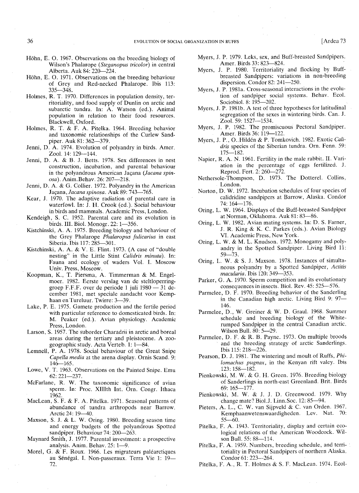- Höhn, E. O. 1967. Observations on the breeding biology of Wilson's Phalarope *(Steganopus tricolor)* in central Alberta. Auk 84: 220-224.
- Höhn, E. O. 1971. Observations on the breeding behaviour of Grey and Red-necked Phalarope. Ibis 113: 335-348.
- Holmes, R. T. 1970. Differences in population density, territoriality, and food supply of Dunlin on arctic and subarctic tundra. In: A. Watson (ed.). Animal population in relation to their food resources. Blackwell, Oxford.
- Holmes, R. T. & F. A. Pitelka. 1964. Breeding behavior and taxonomic relationships of the Curlew Sandpiper. Auk 81: 362-379.
- Jenni, D. A. 1974. Evolution of polyandry in birds. Amer. Zool. 14: 129--144.
- Jenni, D. A. & B. J. Betts. 1978. Sex differences in nest construction, incubation, and parental behaviour in the polyandrous American Jaçana (Jacana spin*osa*). Anim.Behav. 26: 207-218.
- Jenni, D. A. & G. Collier. 1972. Polyandry in the American Jac;ana, *Jacana spinosa.* Auk 89: 743-765.
- Kear, J. 1970. The adaptive radiation of parental care in waterfowl. In: J. H. Crook (ed.). Social behaviour in birds and mammals. Academic Press, London.
- Kendeigh, S. C. 1952. Parental care and its evolution in birds. **III.** Biol. Monogr. 22: 1-356.
- Kistchinski, A. A. 1975. Breeding biology and behaviour of the Grey Phalarope *Phalaropus fulicarius* in east Siberia. Ibis 117: 285-301.
- Kistchinski, A. A. & V. E. Flint. 1973. (A case of "double nesting" in the Little Stint *Calidris minuta).* In: Fauna and ecology of waders Vol. I. Moscow Univ. Press, Moscow.
- Koopman, K., T. Piersma, A. Timmerman & M. Engelmoer. 1982. Eerste verslag van de steltloperringgroep F.F.F. over de periode 1 juli  $1980 - 31$  december 1981, met speciale aandacht voor Kemphaan en Tureluur. Twirre: 3-39.
- Lake, P. E. 1975. Gamete production and the fertile period with particular reference to domesticated birds. In: M. Peaker (ed.). Avian physiology. Academic Press, London.
- Larson, S. 1957. The suborder Charadrii in arctic and boreal areas during the tertiary and pleistocene. A zoogeographic study. Acta Verteb. 1: 1-84.
- Lemnell, P. A. 1978. Social behaviour of the Great Snipe *Capella media* at the arena display. Ornis Scand. 9:  $146 - 165$ .
- Lowe, V. T. 1963. Observations on the Painted Snipe. Emu 62:221-237.
- McFarlane, R. W. The taxonomic significance of avian sperm. In: Proc. XIIIth Int. Om. Congr. Ithaca 1962.
- MacLean, S. F. & F. A. Pitelka. 1971. Seasonal patterns of abundance of tundra arthropods near Barrow. Arctic 24: 19-40.
- Maxson, S. J. & L. W. Oring. 1980. Breeding season time and energy budgets of the polyandrous Spotted sandpiper. Behaviour 74: 200-263.
- Maynard Smith, J. 1977. Parental investment: a prospective analysis. Anim. Behav. 25: 1-9.
- Morel, G. & F. Roux. 1966. Les migrateurs paléarctiques au Sénégal. I. Non-passeraux. Terra Vie 1: 19-72.
- Myers, J. P. 1979. Leks, sex, and Buff-breasted Sandpipers. Amer. Birds 33: 823-824.
- Myers, J. P. 1980. Territoriality and flocking by Buffbreasted Sandpipers: variations in non-breeding dispersion. Condor 82: 241-250.
- Myers, J. P. 1981a. Cross-seasonal interactions in the evolution of sandpiper social systems. Behav. Ecol. Sociobiol. 8: 195-202.
- Myers, J. P. 1981b. A test of three hypotheses for latitudinal segregation of the sexes in wintering birds. Can. J. Zool. 59: 1527-1534.
- Myers, J. P. 1982. The promiscuous Pectoral Sandpiper. Amer. Birds 36: 119-122.
- Myers, J. P., O. Hildén & P. Tomkovich. 1982. Exotic *Calidris* species of the Siberian tundra. Om. Fenn. 59: 175-182.
- Napier, R. A. N. 1961. Fertility in the male rabbit. II. Variation in the percentage of eggs fertilized. J. Reprod. Fert. 2: 260-272.
- Nethersole-Thompson, D. 1973. The Dotterel. Collins, London.
- Norton, D. W. 1972. Incubation schedules of four species of calidridine sandpipers at Barrow, Alaska. Condor 74: 164--176.
- Oring, L. W. 1964. Displays of the Buff-breasted Sandpiper at Norman, Oklahoma. Auk 81: 83-86.
- Oring, L. W. 1982. Avian mating systems. In: D. S. Farner, J. R. King & K. C. Parkes (eds.). Avian Biology VI. Academic Press, New York.
- Oring, L. W. & M. L. Knudson. 1972. Monogamy and polyandry in the Spotted Sandpiper. .Living Bird 11:  $59 - 73.$
- Oring, L. W. & S. J. Maxson. 1978. Instances of simultaneous polyandry by a Spotted Sandpiper, *Actitis macularia.* Ibis 120: 349-353.
- Parker, G. A. 1970. Sperm competition and its evolutionary consequences in insects. BioI. Rev. 45: 525-576.
- Parmelee, D. F. 1970. Breeding behavior of the Sanderling in the Canadian high arctic. Living Bird 9: 97-146.
- Parmelee, D., W. Greiner & W. D. Graul. 1968. Summer schedule and breeding biology of the Whiterumped Sandpiper in the central Canadian arctic. Wilson Bull. 80: 5-29.
- Parmelee, D. F. & R. B. Payne. 1973. On multiple broods and the breeding strategy of arctic Sanderlings. Ibis 115: 218-226.
- Pearson, D. J. 1981. The wintering and moult of Ruffs, *Philomachus pugnax,* in the Kenyan rift valey. Ibis 123: 158-182.
- Pienkowski, M. W. & G. H. Green. 1976. Breeding biology of Sanderlings in north-east Greenland. Brit. Birds 69: 165-177.
- Pienkowski, M. W. & J. J. D. Greenwood. 1979. Why change mate? Biol.J. Linn.Soc. 12: 85-94.
- Pieters, A. L., C. W. van Sijpveld & C. van Orden. 1967. Kemphaanwetenswaardigheden. Lev. Nat. 70:  $55 - 60$ .
- Pitelka, F. A. 1943. Territoriality, display and certain ecological relations of the American Woodcock. Wilson Bull. 55: 88-114.
- Pitelka, F. A. 1959. Numbers, breeding schedule, and territoriality in Pectoral Sandpipers of northern Alaska. Condor 61: 223-264.
- Pitelka, F. A., R. T. Holmes & S. F. MacLean. 1974. Ecol-